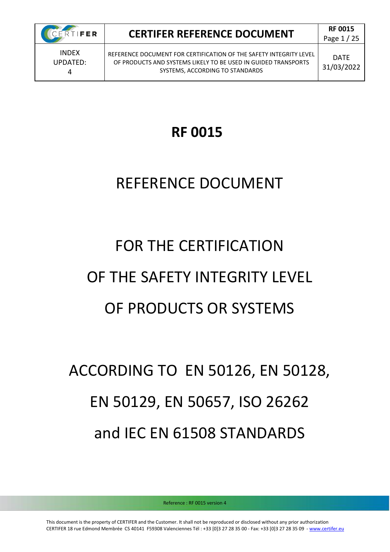

Page 1 / 25

UPDATED: 4

REFERENCE DOCUMENT FOR CERTIFICATION OF THE SAFETY INTEGRITY LEVEL OF PRODUCTS AND SYSTEMS LIKELY TO BE USED IN GUIDED TRANSPORTS SYSTEMS, ACCORDING TO STANDARDS

DATE 31/03/2022

## **RF 0015**

## REFERENCE DOCUMENT

# FOR THE CERTIFICATION OF THE SAFETY INTEGRITY LEVEL OF PRODUCTS OR SYSTEMS

# ACCORDING TO EN 50126, EN 50128, EN 50129, EN 50657, ISO 26262 and IEC EN 61508 STANDARDS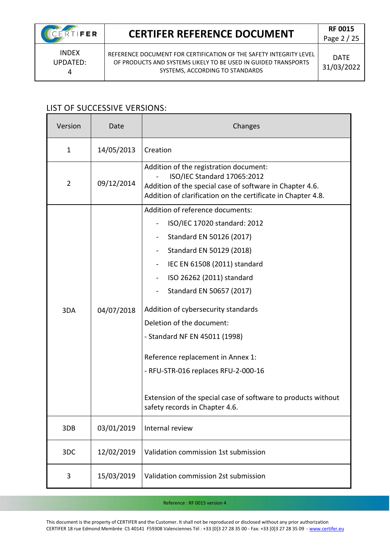INDEX UPDATED: 4

REFERENCE DOCUMENT FOR CERTIFICATION OF THE SAFETY INTEGRITY LEVEL OF PRODUCTS AND SYSTEMS LIKELY TO BE USED IN GUIDED TRANSPORTS SYSTEMS, ACCORDING TO STANDARDS

DATE 31/03/2022

### LIST OF SUCCESSIVE VERSIONS:

| Version        | Date       | Changes                                                                                                                                                                                                                                                                                                                                                                                                                                                                                                                 |
|----------------|------------|-------------------------------------------------------------------------------------------------------------------------------------------------------------------------------------------------------------------------------------------------------------------------------------------------------------------------------------------------------------------------------------------------------------------------------------------------------------------------------------------------------------------------|
| $\mathbf{1}$   | 14/05/2013 | Creation                                                                                                                                                                                                                                                                                                                                                                                                                                                                                                                |
| $\overline{2}$ | 09/12/2014 | Addition of the registration document:<br>ISO/IEC Standard 17065:2012<br>Addition of the special case of software in Chapter 4.6.<br>Addition of clarification on the certificate in Chapter 4.8.                                                                                                                                                                                                                                                                                                                       |
| 3DA            | 04/07/2018 | Addition of reference documents:<br>ISO/IEC 17020 standard: 2012<br>Standard EN 50126 (2017)<br>$\blacksquare$<br>Standard EN 50129 (2018)<br>IEC EN 61508 (2011) standard<br>ISO 26262 (2011) standard<br>Standard EN 50657 (2017)<br>Addition of cybersecurity standards<br>Deletion of the document:<br>- Standard NF EN 45011 (1998)<br>Reference replacement in Annex 1:<br>- RFU-STR-016 replaces RFU-2-000-16<br>Extension of the special case of software to products without<br>safety records in Chapter 4.6. |
| 3DB            | 03/01/2019 | Internal review                                                                                                                                                                                                                                                                                                                                                                                                                                                                                                         |
| 3DC            | 12/02/2019 | Validation commission 1st submission                                                                                                                                                                                                                                                                                                                                                                                                                                                                                    |
| 3              | 15/03/2019 | Validation commission 2st submission                                                                                                                                                                                                                                                                                                                                                                                                                                                                                    |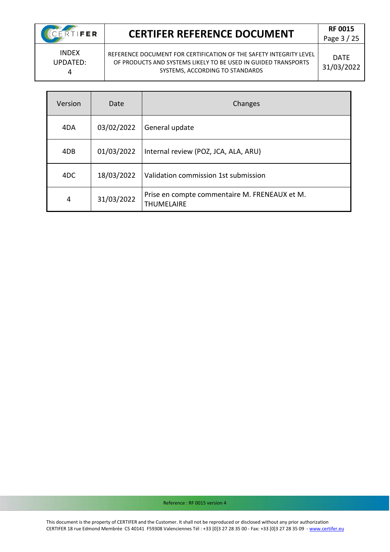CERTIFER

Page 3 / 25

INDEX UPDATED: 4

REFERENCE DOCUMENT FOR CERTIFICATION OF THE SAFETY INTEGRITY LEVEL OF PRODUCTS AND SYSTEMS LIKELY TO BE USED IN GUIDED TRANSPORTS SYSTEMS, ACCORDING TO STANDARDS

DATE 31/03/2022

| Version | Date       | Changes                                                            |
|---------|------------|--------------------------------------------------------------------|
| 4DA     | 03/02/2022 | General update                                                     |
| 4DB     | 01/03/2022 | Internal review (POZ, JCA, ALA, ARU)                               |
| 4DC     | 18/03/2022 | Validation commission 1st submission                               |
| 4       | 31/03/2022 | Prise en compte commentaire M. FRENEAUX et M.<br><b>THUMELAIRE</b> |

Reference : RF 0015 version 4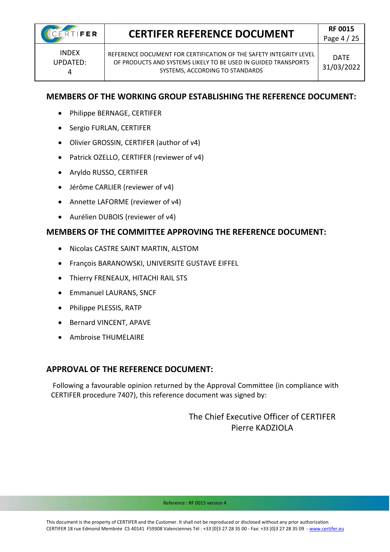

INDEX UPDATED: 4

REFERENCE DOCUMENT FOR CERTIFICATION OF THE SAFETY INTEGRITY LEVEL OF PRODUCTS AND SYSTEMS LIKELY TO BE USED IN GUIDED TRANSPORTS SYSTEMS, ACCORDING TO STANDARDS

### **MEMBERS OF THE WORKING GROUP ESTABLISHING THE REFERENCE DOCUMENT:**

- Philippe BERNAGE, CERTIFER
- Sergio FURLAN, CERTIFER
- Olivier GROSSIN, CERTIFER (author of v4)
- Patrick OZELLO, CERTIFER (reviewer of v4)
- Aryldo RUSSO, CERTIFER
- Jérôme CARLIER (reviewer of v4)
- Annette LAFORME (reviewer of v4)
- Aurélien DUBOIS (reviewer of v4)

### **MEMBERS OF THE COMMITTEE APPROVING THE REFERENCE DOCUMENT:**

- Nicolas CASTRE SAINT MARTIN, ALSTOM
- François BARANOWSKI, UNIVERSITE GUSTAVE EIFFEL
- Thierry FRENEAUX, HITACHI RAIL STS
- Emmanuel LAURANS, SNCF
- Philippe PLESSIS, RATP
- Bernard VINCENT, APAVE
- Ambroise THUMELAIRE

### **APPROVAL OF THE REFERENCE DOCUMENT:**

Following a favourable opinion returned by the Approval Committee (in compliance with CERTIFER procedure 7407), this reference document was signed by:

> The Chief Executive Officer of CERTIFER Pierre KADZIOLA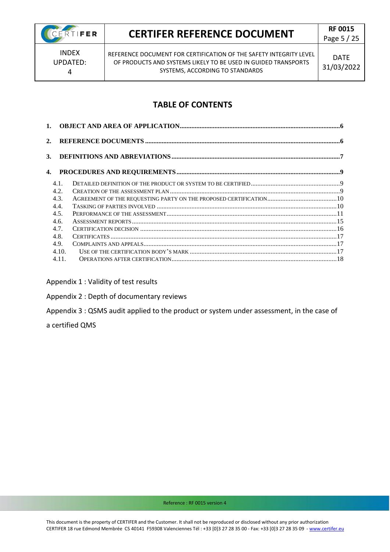

### **CERTIFER REFERENCE DOCUMENT** REPOOLS

Page 5 / 25

INDEX UPDATED: 4

REFERENCE DOCUMENT FOR CERTIFICATION OF THE SAFETY INTEGRITY LEVEL OF PRODUCTS AND SYSTEMS LIKELY TO BE USED IN GUIDED TRANSPORTS SYSTEMS, ACCORDING TO STANDARDS

### **TABLE OF CONTENTS**

| 2. |       |  |
|----|-------|--|
| 3. |       |  |
| 4. |       |  |
|    | 4.1.  |  |
|    | 4.2.  |  |
|    | 4.3.  |  |
|    | 4.4.  |  |
|    | 4.5.  |  |
|    | 4.6.  |  |
|    | 4.7.  |  |
|    | 4.8.  |  |
|    | 4.9.  |  |
|    | 4.10. |  |
|    | 4.11. |  |

Appendix 1 : Validity of test results

Appendix 2 : Depth of documentary reviews

Appendix 3 : QSMS audit applied to the product or system under assessment, in the case of

a certified QMS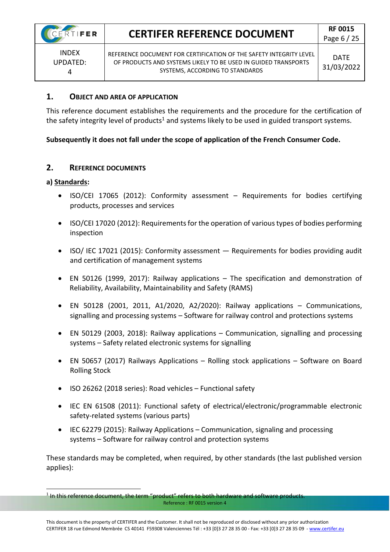INDEX UPDATED: 4

REFERENCE DOCUMENT FOR CERTIFICATION OF THE SAFETY INTEGRITY LEVEL OF PRODUCTS AND SYSTEMS LIKELY TO BE USED IN GUIDED TRANSPORTS SYSTEMS, ACCORDING TO STANDARDS

#### <span id="page-5-0"></span>**1. OBJECT AND AREA OF APPLICATION**

This reference document establishes the requirements and the procedure for the certification of the safety integrity level of products<sup>1</sup> and systems likely to be used in guided transport systems.

### **Subsequently it does not fall under the scope of application of the French Consumer Code.**

### <span id="page-5-1"></span>**2. REFERENCE DOCUMENTS**

#### **a) Standards:**

- ISO/CEI 17065 (2012): Conformity assessment Requirements for bodies certifying products, processes and services
- ISO/CEI 17020 (2012): Requirements for the operation of various types of bodies performing inspection
- ISO/ IEC 17021 (2015): Conformity assessment Requirements for bodies providing audit and certification of management systems
- EN 50126 (1999, 2017): Railway applications The specification and demonstration of Reliability, Availability, Maintainability and Safety (RAMS)
- EN 50128 (2001, 2011, A1/2020, A2/2020): Railway applications Communications, signalling and processing systems – Software for railway control and protections systems
- EN 50129 (2003, 2018): Railway applications Communication, signalling and processing systems – Safety related electronic systems for signalling
- EN 50657 (2017) Railways Applications Rolling stock applications Software on Board Rolling Stock
- ISO 26262 (2018 series): Road vehicles Functional safety
- IEC EN 61508 (2011): Functional safety of electrical/electronic/programmable electronic safety-related systems (various parts)
- IEC 62279 (2015): Railway Applications Communication, signaling and processing systems – Software for railway control and protection systems

These standards may be completed, when required, by other standards (the last published version applies):

Reference : RF 0015 version 4 <sup>1</sup> In this reference document, the term "product" refers to both hardware and software products.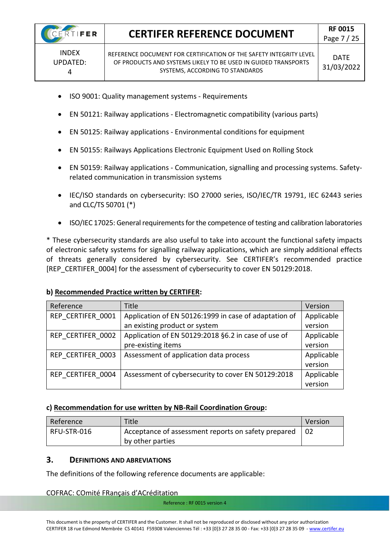4

### **CERTIFER REFERENCE DOCUMENT RF 0015**

- ISO 9001: Quality management systems Requirements
- EN 50121: Railway applications Electromagnetic compatibility (various parts)
- EN 50125: Railway applications Environmental conditions for equipment
- EN 50155: Railways Applications Electronic Equipment Used on Rolling Stock
- EN 50159: Railway applications Communication, signalling and processing systems. Safetyrelated communication in transmission systems
- IEC/ISO standards on cybersecurity: ISO 27000 series, ISO/IEC/TR 19791, IEC 62443 series and CLC/TS 50701 (\*)
- ISO/IEC 17025: General requirements for the competence of testing and calibration laboratories

\* These cybersecurity standards are also useful to take into account the functional safety impacts of electronic safety systems for signalling railway applications, which are simply additional effects of threats generally considered by cybersecurity. See CERTIFER's recommended practice [REP\_CERTIFER\_0004] for the assessment of cybersecurity to cover EN 50129:2018.

#### **b) Recommended Practice written by CERTIFER:**

| Reference         | <b>Title</b>                                          | Version    |
|-------------------|-------------------------------------------------------|------------|
| REP CERTIFER 0001 | Application of EN 50126:1999 in case of adaptation of | Applicable |
|                   | an existing product or system                         | version    |
| REP CERTIFER 0002 | Application of EN 50129:2018 §6.2 in case of use of   | Applicable |
|                   | pre-existing items                                    | version    |
| REP CERTIFER 0003 | Assessment of application data process                | Applicable |
|                   |                                                       | version    |
| REP CERTIFER 0004 | Assessment of cybersecurity to cover EN 50129:2018    | Applicable |
|                   |                                                       | version    |

#### **c) Recommendation for use written by NB-Rail Coordination Group:**

| Reference   | Title                                               | Version |
|-------------|-----------------------------------------------------|---------|
| RFU-STR-016 | Acceptance of assessment reports on safety prepared |         |
|             | by other parties                                    |         |

### <span id="page-6-0"></span>**3. DEFINITIONS AND ABREVIATIONS**

The definitions of the following reference documents are applicable:

### COFRAC: COmité FRançais d'ACréditation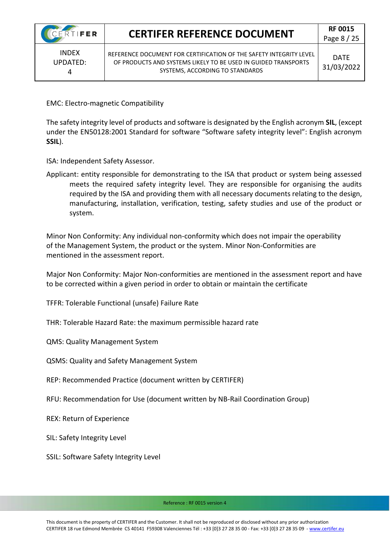INDEX UPDATED: 4

REFERENCE DOCUMENT FOR CERTIFICATION OF THE SAFETY INTEGRITY LEVEL OF PRODUCTS AND SYSTEMS LIKELY TO BE USED IN GUIDED TRANSPORTS SYSTEMS, ACCORDING TO STANDARDS

DATE 31/03/2022

EMC: Electro-magnetic Compatibility

The safety integrity level of products and software is designated by the English acronym **SIL**, (except under the EN50128:2001 Standard for software "Software safety integrity level": English acronym **SSIL**).

ISA: Independent Safety Assessor.

Applicant: entity responsible for demonstrating to the ISA that product or system being assessed meets the required safety integrity level. They are responsible for organising the audits required by the ISA and providing them with all necessary documents relating to the design, manufacturing, installation, verification, testing, safety studies and use of the product or system.

Minor Non Conformity: Any individual non-conformity which does not impair the operability of the Management System, the product or the system. Minor Non-Conformities are mentioned in the assessment report.

Major Non Conformity: Major Non-conformities are mentioned in the assessment report and have to be corrected within a given period in order to obtain or maintain the certificate

TFFR: Tolerable Functional (unsafe) Failure Rate

THR: Tolerable Hazard Rate: the maximum permissible hazard rate

QMS: Quality Management System

QSMS: Quality and Safety Management System

REP: Recommended Practice (document written by CERTIFER)

RFU: Recommendation for Use (document written by NB-Rail Coordination Group)

REX: Return of Experience

SIL: Safety Integrity Level

SSIL: Software Safety Integrity Level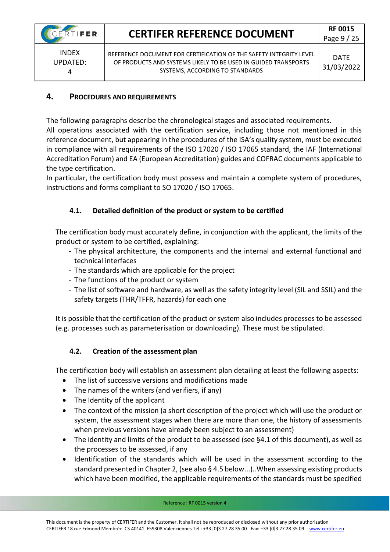INDEX UPDATED: 4

REFERENCE DOCUMENT FOR CERTIFICATION OF THE SAFETY INTEGRITY LEVEL OF PRODUCTS AND SYSTEMS LIKELY TO BE USED IN GUIDED TRANSPORTS SYSTEMS, ACCORDING TO STANDARDS

### <span id="page-8-0"></span>**4. PROCEDURES AND REQUIREMENTS**

The following paragraphs describe the chronological stages and associated requirements.

All operations associated with the certification service, including those not mentioned in this reference document, but appearing in the procedures of the ISA's quality system, must be executed in compliance with all requirements of the ISO 17020 / ISO 17065 standard, the IAF (International Accreditation Forum) and EA (European Accreditation) guides and COFRAC documents applicable to the type certification.

In particular, the certification body must possess and maintain a complete system of procedures, instructions and forms compliant to SO 17020 / ISO 17065.

### <span id="page-8-1"></span>**4.1. Detailed definition of the product or system to be certified**

The certification body must accurately define, in conjunction with the applicant, the limits of the product or system to be certified, explaining:

- The physical architecture, the components and the internal and external functional and technical interfaces
- The standards which are applicable for the project
- The functions of the product or system
- The list of software and hardware, as well as the safety integrity level (SIL and SSIL) and the safety targets (THR/TFFR, hazards) for each one

It is possible that the certification of the product or system also includes processes to be assessed (e.g. processes such as parameterisation or downloading). These must be stipulated.

### <span id="page-8-2"></span>**4.2. Creation of the assessment plan**

The certification body will establish an assessment plan detailing at least the following aspects:

- The list of successive versions and modifications made
- The names of the writers (and verifiers, if any)
- The Identity of the applicant
- The context of the mission (a short description of the project which will use the product or system, the assessment stages when there are more than one, the history of assessments when previous versions have already been subject to an assessment)
- The identity and limits of the product to be assessed (see §4.1 of this document), as well as the processes to be assessed, if any
- Identification of the standards which will be used in the assessment according to the standard presented in Chapter 2, (see also § 4.5 below...).*.*When assessing existing products which have been modified, the applicable requirements of the standards must be specified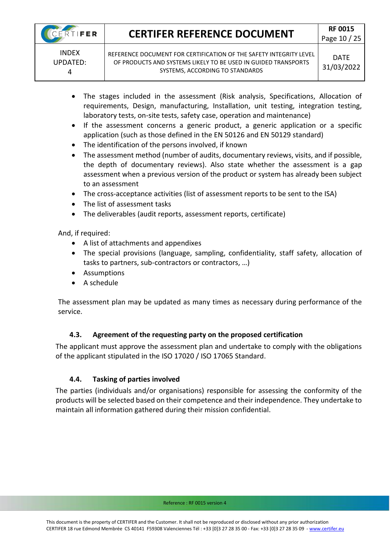UPDATED: 4

REFERENCE DOCUMENT FOR CERTIFICATION OF THE SAFETY INTEGRITY LEVEL OF PRODUCTS AND SYSTEMS LIKELY TO BE USED IN GUIDED TRANSPORTS SYSTEMS, ACCORDING TO STANDARDS

- The stages included in the assessment (Risk analysis, Specifications, Allocation of requirements, Design, manufacturing, Installation, unit testing, integration testing, laboratory tests, on-site tests, safety case, operation and maintenance)
- If the assessment concerns a generic product, a generic application or a specific application (such as those defined in the EN 50126 and EN 50129 standard)
- The identification of the persons involved, if known
- The assessment method (number of audits, documentary reviews, visits, and if possible, the depth of documentary reviews). Also state whether the assessment is a gap assessment when a previous version of the product or system has already been subject to an assessment
- The cross-acceptance activities (list of assessment reports to be sent to the ISA)
- The list of assessment tasks
- The deliverables (audit reports, assessment reports, certificate)

And, if required:

- A list of attachments and appendixes
- The special provisions (language, sampling, confidentiality, staff safety, allocation of tasks to partners, sub-contractors or contractors, …)
- Assumptions
- A schedule

The assessment plan may be updated as many times as necessary during performance of the service.

### **4.3. Agreement of the requesting party on the proposed certification**

<span id="page-9-0"></span>The applicant must approve the assessment plan and undertake to comply with the obligations of the applicant stipulated in the ISO 17020 / ISO 17065 Standard.

### **4.4. Tasking of parties involved**

<span id="page-9-1"></span>The parties (individuals and/or organisations) responsible for assessing the conformity of the products will be selected based on their competence and their independence. They undertake to maintain all information gathered during their mission confidential.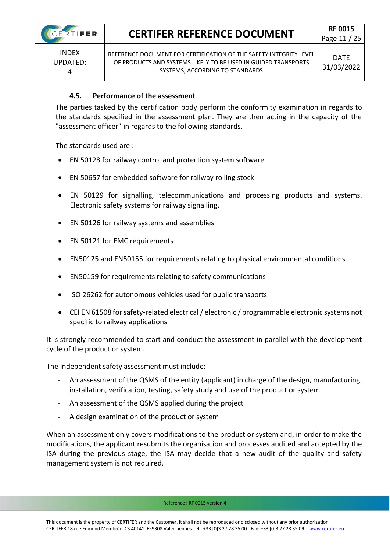INDEX UPDATED: 4

REFERENCE DOCUMENT FOR CERTIFICATION OF THE SAFETY INTEGRITY LEVEL OF PRODUCTS AND SYSTEMS LIKELY TO BE USED IN GUIDED TRANSPORTS SYSTEMS, ACCORDING TO STANDARDS

### **4.5. Performance of the assessment**

<span id="page-10-0"></span>The parties tasked by the certification body perform the conformity examination in regards to the standards specified in the assessment plan. They are then acting in the capacity of the "assessment officer" in regards to the following standards.

The standards used are :

- EN 50128 for railway control and protection system software
- EN 50657 for embedded software for railway rolling stock
- EN 50129 for signalling, telecommunications and processing products and systems. Electronic safety systems for railway signalling.
- EN 50126 for railway systems and assemblies
- EN 50121 for EMC requirements
- EN50125 and EN50155 for requirements relating to physical environmental conditions
- EN50159 for requirements relating to safety communications
- ISO 26262 for autonomous vehicles used for public transports
- CEI EN 61508 for safety-related electrical / electronic / programmable electronic systems not specific to railway applications

It is strongly recommended to start and conduct the assessment in parallel with the development cycle of the product or system.

The Independent safety assessment must include:

- An assessment of the QSMS of the entity (applicant) in charge of the design, manufacturing, installation, verification, testing, safety study and use of the product or system
- An assessment of the QSMS applied during the project
- A design examination of the product or system

When an assessment only covers modifications to the product or system and, in order to make the modifications, the applicant resubmits the organisation and processes audited and accepted by the ISA during the previous stage, the ISA may decide that a new audit of the quality and safety management system is not required.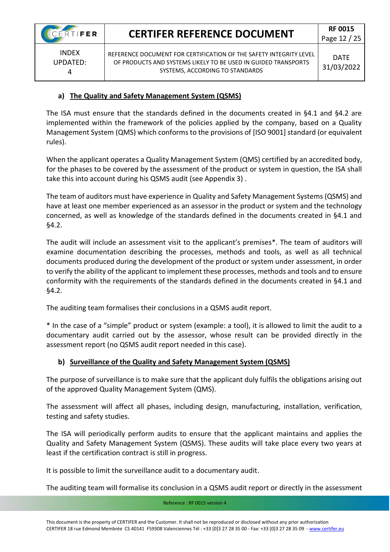INDEX UPDATED: 4

REFERENCE DOCUMENT FOR CERTIFICATION OF THE SAFETY INTEGRITY LEVEL OF PRODUCTS AND SYSTEMS LIKELY TO BE USED IN GUIDED TRANSPORTS SYSTEMS, ACCORDING TO STANDARDS

### **a) The Quality and Safety Management System (QSMS)**

The ISA must ensure that the standards defined in the documents created in §4.1 and §4.2 are implemented within the framework of the policies applied by the company, based on a Quality Management System (QMS) which conforms to the provisions of [ISO 9001] standard (or equivalent rules).

When the applicant operates a Quality Management System (QMS) certified by an accredited body, for the phases to be covered by the assessment of the product or system in question, the ISA shall take this into account during his QSMS audit (see Appendix 3) .

The team of auditors must have experience in Quality and Safety Management Systems (QSMS) and have at least one member experienced as an assessor in the product or system and the technology concerned, as well as knowledge of the standards defined in the documents created in §4.1 and §4.2.

The audit will include an assessment visit to the applicant's premises\*. The team of auditors will examine documentation describing the processes, methods and tools, as well as all technical documents produced during the development of the product or system under assessment, in order to verify the ability of the applicant to implement these processes, methods and tools and to ensure conformity with the requirements of the standards defined in the documents created in §4.1 and §4.2.

The auditing team formalises their conclusions in a QSMS audit report.

\* In the case of a "simple" product or system (example: a tool), it is allowed to limit the audit to a documentary audit carried out by the assessor, whose result can be provided directly in the assessment report (no QSMS audit report needed in this case).

### **b) Surveillance of the Quality and Safety Management System (QSMS)**

The purpose of surveillance is to make sure that the applicant duly fulfils the obligations arising out of the approved Quality Management System (QMS).

The assessment will affect all phases, including design, manufacturing, installation, verification, testing and safety studies.

The ISA will periodically perform audits to ensure that the applicant maintains and applies the Quality and Safety Management System (QSMS). These audits will take place every two years at least if the certification contract is still in progress.

It is possible to limit the surveillance audit to a documentary audit.

The auditing team will formalise its conclusion in a QSMS audit report or directly in the assessment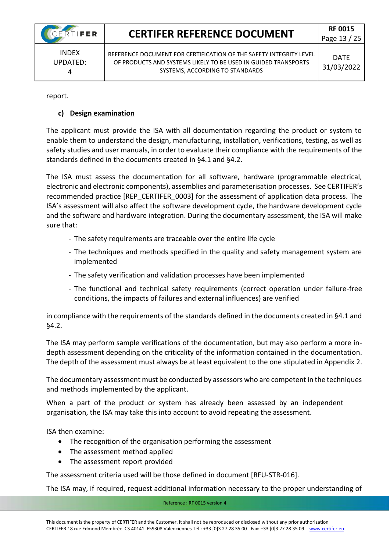INDEX UPDATED: 4

REFERENCE DOCUMENT FOR CERTIFICATION OF THE SAFETY INTEGRITY LEVEL OF PRODUCTS AND SYSTEMS LIKELY TO BE USED IN GUIDED TRANSPORTS SYSTEMS, ACCORDING TO STANDARDS

report.

### **c) Design examination**

The applicant must provide the ISA with all documentation regarding the product or system to enable them to understand the design, manufacturing, installation, verifications, testing, as well as safety studies and user manuals, in order to evaluate their compliance with the requirements of the standards defined in the documents created in §4.1 and §4.2.

The ISA must assess the documentation for all software, hardware (programmable electrical, electronic and electronic components), assemblies and parameterisation processes. See CERTIFER's recommended practice [REP\_CERTIFER\_0003] for the assessment of application data process. The ISA's assessment will also affect the software development cycle, the hardware development cycle and the software and hardware integration. During the documentary assessment, the ISA will make sure that:

- The safety requirements are traceable over the entire life cycle
- The techniques and methods specified in the quality and safety management system are implemented
- The safety verification and validation processes have been implemented
- The functional and technical safety requirements (correct operation under failure-free conditions, the impacts of failures and external influences) are verified

in compliance with the requirements of the standards defined in the documents created in §4.1 and §4.2.

The ISA may perform sample verifications of the documentation, but may also perform a more indepth assessment depending on the criticality of the information contained in the documentation. The depth of the assessment must always be at least equivalent to the one stipulated in Appendix 2.

The documentary assessment must be conducted by assessors who are competent in the techniques and methods implemented by the applicant.

When a part of the product or system has already been assessed by an independent organisation, the ISA may take this into account to avoid repeating the assessment.

ISA then examine:

- The recognition of the organisation performing the assessment
- The assessment method applied
- The assessment report provided

The assessment criteria used will be those defined in document [RFU-STR-016].

The ISA may, if required, request additional information necessary to the proper understanding of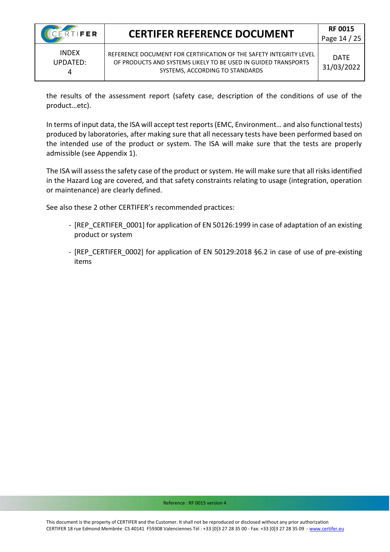4

### **CERTIFER REFERENCE DOCUMENT RF 0015**

the results of the assessment report (safety case, description of the conditions of use of the product…etc).

In terms of input data, the ISA will accept test reports (EMC, Environment… and also functional tests) produced by laboratories, after making sure that all necessary tests have been performed based on the intended use of the product or system. The ISA will make sure that the tests are properly admissible (see Appendix 1).

The ISA will assess the safety case of the product or system. He will make sure that all risks identified in the Hazard Log are covered, and that safety constraints relating to usage (integration, operation or maintenance) are clearly defined.

See also these 2 other CERTIFER's recommended practices:

- [REP\_CERTIFER\_0001] for application of EN 50126:1999 in case of adaptation of an existing product or system
- [REP\_CERTIFER\_0002] for application of EN 50129:2018 §6.2 in case of use of pre-existing items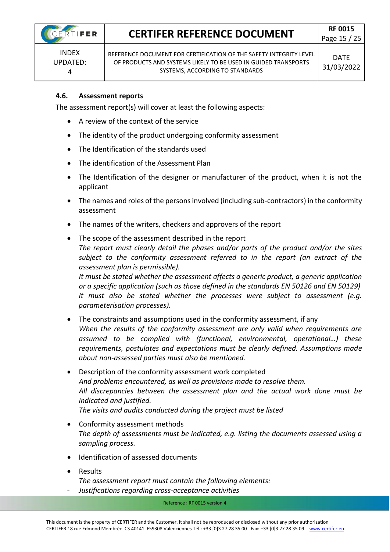INDEX UPDATED: 4

REFERENCE DOCUMENT FOR CERTIFICATION OF THE SAFETY INTEGRITY LEVEL OF PRODUCTS AND SYSTEMS LIKELY TO BE USED IN GUIDED TRANSPORTS SYSTEMS, ACCORDING TO STANDARDS

#### <span id="page-14-0"></span>**4.6. Assessment reports**

The assessment report(s) will cover at least the following aspects:

- A review of the context of the service
- The identity of the product undergoing conformity assessment
- The Identification of the standards used
- The identification of the Assessment Plan
- The Identification of the designer or manufacturer of the product, when it is not the applicant
- The names and roles of the persons involved (including sub-contractors) in the conformity assessment
- The names of the writers, checkers and approvers of the report
- The scope of the assessment described in the report *The report must clearly detail the phases and/or parts of the product and/or the sites subject to the conformity assessment referred to in the report (an extract of the assessment plan is permissible). It must be stated whether the assessment affects a generic product, a generic application or a specific application (such as those defined in the standards EN 50126 and EN 50129) It must also be stated whether the processes were subject to assessment (e.g. parameterisation processes).*
- The constraints and assumptions used in the conformity assessment, if any *When the results of the conformity assessment are only valid when requirements are assumed to be complied with (functional, environmental, operational…) these requirements, postulates and expectations must be clearly defined. Assumptions made about non-assessed parties must also be mentioned.*
- Description of the conformity assessment work completed *And problems encountered, as well as provisions made to resolve them. All discrepancies between the assessment plan and the actual work done must be indicated and justified. The visits and audits conducted during the project must be listed*
- Conformity assessment methods *The depth of assessments must be indicated, e.g. listing the documents assessed using a sampling process.*
- Identification of assessed documents
- Results *The assessment report must contain the following elements:*
- *Justifications regarding cross-acceptance activities*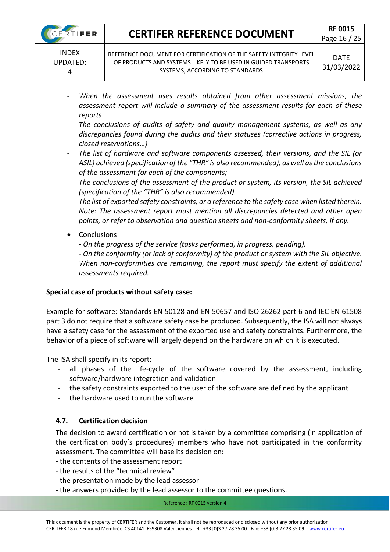- When the assessment uses results obtained from other assessment missions, the *assessment report will include a summary of the assessment results for each of these reports*
- The conclusions of audits of safety and quality management systems, as well as any *discrepancies found during the audits and their statuses (corrective actions in progress, closed reservations…)*
- *The list of hardware and software components assessed, their versions, and the SIL (or ASIL) achieved (specification of the "THR" is also recommended), as well as the conclusions of the assessment for each of the components;*
- The conclusions of the assessment of the product or system, its version, the SIL achieved *(specification of the "THR" is also recommended)*
- *The list of exported safety constraints, or a reference to the safety case when listed therein. Note: The assessment report must mention all discrepancies detected and other open points, or refer to observation and question sheets and non-conformity sheets, if any.*
- Conclusions
	- *- On the progress of the service (tasks performed, in progress, pending).*

*- On the conformity (or lack of conformity) of the product or system with the SIL objective. When non-conformities are remaining, the report must specify the extent of additional assessments required.*

### **Special case of products without safety case:**

Example for software: Standards EN 50128 and EN 50657 and ISO 26262 part 6 and IEC EN 61508 part 3 do not require that a software safety case be produced. Subsequently, the ISA will not always have a safety case for the assessment of the exported use and safety constraints. Furthermore, the behavior of a piece of software will largely depend on the hardware on which it is executed.

The ISA shall specify in its report:

- all phases of the life-cycle of the software covered by the assessment, including software/hardware integration and validation
- the safety constraints exported to the user of the software are defined by the applicant
- the hardware used to run the software

### <span id="page-15-0"></span>**4.7. Certification decision**

The decision to award certification or not is taken by a committee comprising (in application of the certification body's procedures) members who have not participated in the conformity assessment. The committee will base its decision on:

- the contents of the assessment report
- the results of the "technical review"
- the presentation made by the lead assessor
- the answers provided by the lead assessor to the committee questions.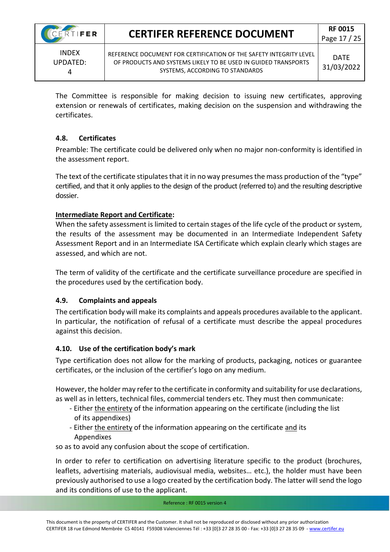UPDATED: 4

REFERENCE DOCUMENT FOR CERTIFICATION OF THE SAFETY INTEGRITY LEVEL OF PRODUCTS AND SYSTEMS LIKELY TO BE USED IN GUIDED TRANSPORTS SYSTEMS, ACCORDING TO STANDARDS

The Committee is responsible for making decision to issuing new certificates, approving extension or renewals of certificates, making decision on the suspension and withdrawing the certificates.

### <span id="page-16-0"></span>**4.8. Certificates**

Preamble: The certificate could be delivered only when no major non-conformity is identified in the assessment report.

The text of the certificate stipulates that it in no way presumes the mass production of the "type" certified, and that it only applies to the design of the product (referred to) and the resulting descriptive dossier.

### **Intermediate Report and Certificate:**

When the safety assessment is limited to certain stages of the life cycle of the product or system, the results of the assessment may be documented in an Intermediate Independent Safety Assessment Report and in an Intermediate ISA Certificate which explain clearly which stages are assessed, and which are not.

The term of validity of the certificate and the certificate surveillance procedure are specified in the procedures used by the certification body.

### <span id="page-16-1"></span>**4.9. Complaints and appeals**

The certification body will make its complaints and appeals procedures available to the applicant. In particular, the notification of refusal of a certificate must describe the appeal procedures against this decision.

### <span id="page-16-2"></span>**4.10. Use of the certification body's mark**

Type certification does not allow for the marking of products, packaging, notices or guarantee certificates, or the inclusion of the certifier's logo on any medium.

However, the holder may refer to the certificate in conformity and suitability for use declarations, as well as in letters, technical files, commercial tenders etc. They must then communicate:

- Either the entirety of the information appearing on the certificate (including the list of its appendixes)
- Either the entirety of the information appearing on the certificate and its Appendixes

so as to avoid any confusion about the scope of certification.

In order to refer to certification on advertising literature specific to the product (brochures, leaflets, advertising materials, audiovisual media, websites… etc.), the holder must have been previously authorised to use a logo created by the certification body. The latter will send the logo and its conditions of use to the applicant.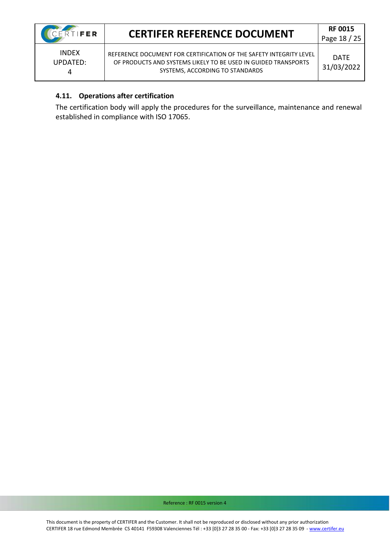4

### **CERTIFER REFERENCE DOCUMENT RF 0015**

REFERENCE DOCUMENT FOR CERTIFICATION OF THE SAFETY INTEGRITY LEVEL OF PRODUCTS AND SYSTEMS LIKELY TO BE USED IN GUIDED TRANSPORTS SYSTEMS, ACCORDING TO STANDARDS

DATE 31/03/2022

### <span id="page-17-0"></span>**4.11. Operations after certification**

The certification body will apply the procedures for the surveillance, maintenance and renewal established in compliance with ISO 17065.

Reference : RF 0015 version 4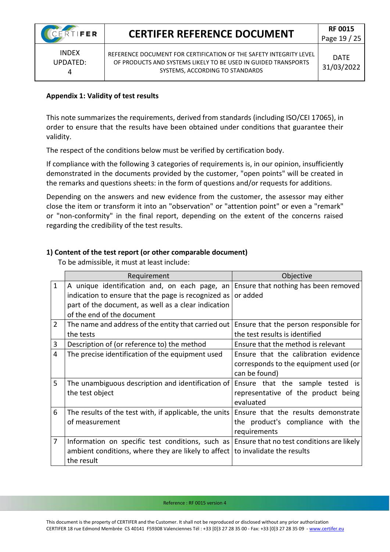INDEX UPDATED: 4

REFERENCE DOCUMENT FOR CERTIFICATION OF THE SAFETY INTEGRITY LEVEL OF PRODUCTS AND SYSTEMS LIKELY TO BE USED IN GUIDED TRANSPORTS SYSTEMS, ACCORDING TO STANDARDS

#### **Appendix 1: Validity of test results**

This note summarizes the requirements, derived from standards (including ISO/CEI 17065), in order to ensure that the results have been obtained under conditions that guarantee their validity.

The respect of the conditions below must be verified by certification body.

If compliance with the following 3 categories of requirements is, in our opinion, insufficiently demonstrated in the documents provided by the customer, "open points" will be created in the remarks and questions sheets: in the form of questions and/or requests for additions.

Depending on the answers and new evidence from the customer, the assessor may either close the item or transform it into an "observation" or "attention point" or even a "remark" or "non-conformity" in the final report, depending on the extent of the concerns raised regarding the credibility of the test results.

### **1) Content of the test report (or other comparable document)**

To be admissible, it must at least include:

|                | Requirement                                                                        | Objective                                 |
|----------------|------------------------------------------------------------------------------------|-------------------------------------------|
| $\mathbf{1}$   | A unique identification and, on each page, an Ensure that nothing has been removed |                                           |
|                | indication to ensure that the page is recognized as                                | or added                                  |
|                | part of the document, as well as a clear indication                                |                                           |
|                | of the end of the document                                                         |                                           |
| $\overline{2}$ | The name and address of the entity that carried out                                | Ensure that the person responsible for    |
|                | the tests                                                                          | the test results is identified            |
| 3              | Description of (or reference to) the method                                        | Ensure that the method is relevant        |
| 4              | The precise identification of the equipment used                                   | Ensure that the calibration evidence      |
|                |                                                                                    | corresponds to the equipment used (or     |
|                |                                                                                    | can be found)                             |
| 5              | The unambiguous description and identification of                                  | Ensure that the sample tested is          |
|                | the test object                                                                    | representative of the product being       |
|                |                                                                                    | evaluated                                 |
| 6              | The results of the test with, if applicable, the units                             | Ensure that the results demonstrate       |
|                | of measurement                                                                     | the product's compliance with the         |
|                |                                                                                    | requirements                              |
| $\overline{7}$ | Information on specific test conditions, such as                                   | Ensure that no test conditions are likely |
|                | ambient conditions, where they are likely to affect                                | to invalidate the results                 |
|                | the result                                                                         |                                           |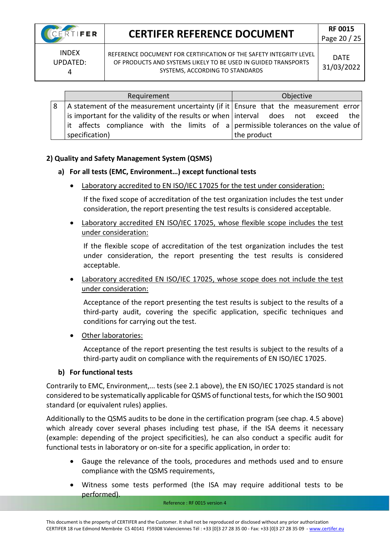

Page 20 / 25

INDEX UPDATED: 4

REFERENCE DOCUMENT FOR CERTIFICATION OF THE SAFETY INTEGRITY LEVEL OF PRODUCTS AND SYSTEMS LIKELY TO BE USED IN GUIDED TRANSPORTS SYSTEMS, ACCORDING TO STANDARDS

| Requirement                                                                           | Objective   |  |  |  |
|---------------------------------------------------------------------------------------|-------------|--|--|--|
| A statement of the measurement uncertainty (if it   Ensure that the measurement error |             |  |  |  |
| is important for the validity of the results or when   interval does not exceed the   |             |  |  |  |
| it affects compliance with the limits of a permissible tolerances on the value of     |             |  |  |  |
| specification)                                                                        | the product |  |  |  |

#### **2) Quality and Safety Management System (QSMS)**

#### **a) For all tests (EMC, Environment…) except functional tests**

Laboratory accredited to EN ISO/IEC 17025 for the test under consideration:

If the fixed scope of accreditation of the test organization includes the test under consideration, the report presenting the test results is considered acceptable.

• Laboratory accredited EN ISO/IEC 17025, whose flexible scope includes the test under consideration:

If the flexible scope of accreditation of the test organization includes the test under consideration, the report presenting the test results is considered acceptable.

• Laboratory accredited EN ISO/IEC 17025, whose scope does not include the test under consideration:

Acceptance of the report presenting the test results is subject to the results of a third-party audit, covering the specific application, specific techniques and conditions for carrying out the test.

• Other laboratories:

Acceptance of the report presenting the test results is subject to the results of a third-party audit on compliance with the requirements of EN ISO/IEC 17025.

#### **b) For functional tests**

Contrarily to EMC, Environment,… tests (see 2.1 above), the EN ISO/IEC 17025 standard is not considered to be systematically applicable for QSMS of functional tests, for which the ISO 9001 standard (or equivalent rules) applies.

Additionally to the QSMS audits to be done in the certification program (see chap. 4.5 above) which already cover several phases including test phase, if the ISA deems it necessary (example: depending of the project specificities), he can also conduct a specific audit for functional tests in laboratory or on-site for a specific application, in order to:

- Gauge the relevance of the tools, procedures and methods used and to ensure compliance with the QSMS requirements,
- Witness some tests performed (the ISA may require additional tests to be performed).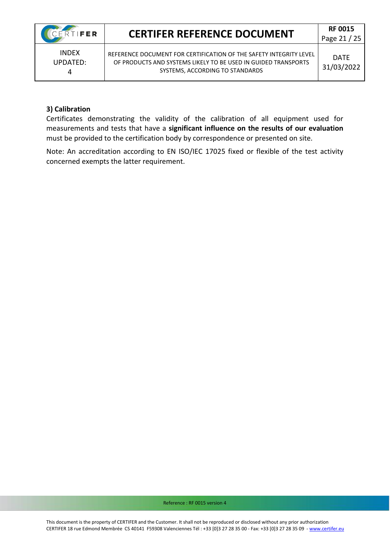INDEX UPDATED: 4

REFERENCE DOCUMENT FOR CERTIFICATION OF THE SAFETY INTEGRITY LEVEL OF PRODUCTS AND SYSTEMS LIKELY TO BE USED IN GUIDED TRANSPORTS SYSTEMS, ACCORDING TO STANDARDS

#### **3) Calibration**

Certificates demonstrating the validity of the calibration of all equipment used for measurements and tests that have a **significant influence on the results of our evaluation** must be provided to the certification body by correspondence or presented on site.

Note: An accreditation according to EN ISO/IEC 17025 fixed or flexible of the test activity concerned exempts the latter requirement.

Reference : RF 0015 version 4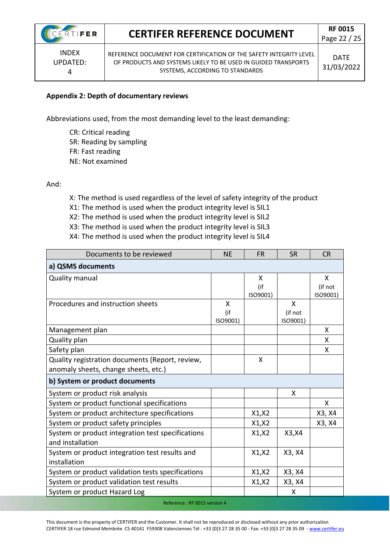INDEX UPDATED: 4

REFERENCE DOCUMENT FOR CERTIFICATION OF THE SAFETY INTEGRITY LEVEL OF PRODUCTS AND SYSTEMS LIKELY TO BE USED IN GUIDED TRANSPORTS SYSTEMS, ACCORDING TO STANDARDS

### **Appendix 2: Depth of documentary reviews**

Abbreviations used, from the most demanding level to the least demanding:

CR: Critical reading SR: Reading by sampling FR: Fast reading NE: Not examined

And:

X: The method is used regardless of the level of safety integrity of the product

X1: The method is used when the product integrity level is SIL1

- X2: The method is used when the product integrity level is SIL2
- X3: The method is used when the product integrity level is SIL3

| X4: The method is used when the product integrity level is SIL4 |
|-----------------------------------------------------------------|
|-----------------------------------------------------------------|

| Documents to be reviewed                          | <b>NE</b> | <b>FR</b> | <b>SR</b> | <b>CR</b> |
|---------------------------------------------------|-----------|-----------|-----------|-----------|
| a) QSMS documents                                 |           |           |           |           |
| Quality manual                                    |           | X         |           | X         |
|                                                   |           | (if       |           | (if not   |
|                                                   |           | ISO9001)  |           | ISO9001)  |
| Procedures and instruction sheets                 | X         |           | X         |           |
|                                                   | (if       |           | (if not   |           |
|                                                   | ISO9001)  |           | ISO9001)  |           |
| Management plan                                   |           |           |           | X         |
| Quality plan                                      |           |           |           | X         |
| Safety plan                                       |           |           |           | X         |
| Quality registration documents (Report, review,   |           | X         |           |           |
| anomaly sheets, change sheets, etc.)              |           |           |           |           |
| b) System or product documents                    |           |           |           |           |
| System or product risk analysis                   |           |           | X         |           |
| System or product functional specifications       |           |           |           | x         |
| System or product architecture specifications     |           | X1, X2    |           | X3, X4    |
| System or product safety principles               |           | X1, X2    |           | X3, X4    |
| System or product integration test specifications |           | X1, X2    | X3, X4    |           |
| and installation                                  |           |           |           |           |
| System or product integration test results and    |           | X1, X2    | X3, X4    |           |
| installation                                      |           |           |           |           |
| System or product validation tests specifications |           | X1, X2    | X3, X4    |           |
| System or product validation test results         |           | X1, X2    | X3, X4    |           |
| System or product Hazard Log                      |           |           | X         |           |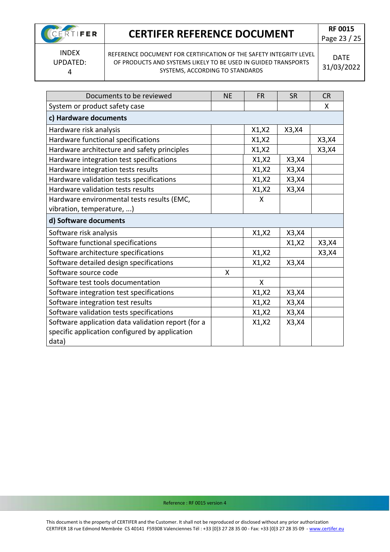CERTIFER

Page 23 / 25

INDEX UPDATED: 4

REFERENCE DOCUMENT FOR CERTIFICATION OF THE SAFETY INTEGRITY LEVEL OF PRODUCTS AND SYSTEMS LIKELY TO BE USED IN GUIDED TRANSPORTS SYSTEMS, ACCORDING TO STANDARDS

DATE 31/03/2022

| Documents to be reviewed                           | <b>NE</b> | FR     | <b>SR</b> | <b>CR</b> |
|----------------------------------------------------|-----------|--------|-----------|-----------|
| System or product safety case                      |           |        |           | X         |
| c) Hardware documents                              |           |        |           |           |
| Hardware risk analysis                             |           | X1, X2 | X3, X4    |           |
| Hardware functional specifications                 |           | X1, X2 |           | X3, X4    |
| Hardware architecture and safety principles        |           | X1, X2 |           | X3, X4    |
| Hardware integration test specifications           |           | X1, X2 | X3, X4    |           |
| Hardware integration tests results                 |           | X1, X2 | X3, X4    |           |
| Hardware validation tests specifications           |           | X1, X2 | X3, X4    |           |
| Hardware validation tests results                  |           | X1, X2 | X3, X4    |           |
| Hardware environmental tests results (EMC,         |           | X      |           |           |
| vibration, temperature, )                          |           |        |           |           |
| d) Software documents                              |           |        |           |           |
| Software risk analysis                             |           | X1, X2 | X3, X4    |           |
| Software functional specifications                 |           |        | X1, X2    | X3, X4    |
| Software architecture specifications               |           | X1, X2 |           | X3, X4    |
| Software detailed design specifications            |           | X1, X2 | X3, X4    |           |
| Software source code                               | X         |        |           |           |
| Software test tools documentation                  |           | X      |           |           |
| Software integration test specifications           |           | X1, X2 | X3, X4    |           |
| Software integration test results                  |           | X1, X2 | X3, X4    |           |
| Software validation tests specifications           |           | X1, X2 | X3, X4    |           |
| Software application data validation report (for a |           | X1, X2 | X3, X4    |           |
| specific application configured by application     |           |        |           |           |
| data)                                              |           |        |           |           |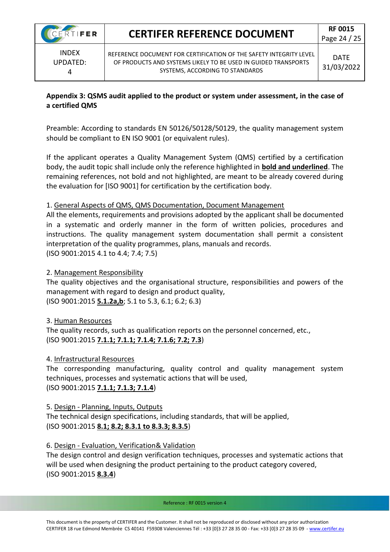

INDEX UPDATED: 4

REFERENCE DOCUMENT FOR CERTIFICATION OF THE SAFETY INTEGRITY LEVEL OF PRODUCTS AND SYSTEMS LIKELY TO BE USED IN GUIDED TRANSPORTS SYSTEMS, ACCORDING TO STANDARDS

#### **Appendix 3: QSMS audit applied to the product or system under assessment, in the case of a certified QMS**

Preamble: According to standards EN 50126/50128/50129, the quality management system should be compliant to EN ISO 9001 (or equivalent rules).

If the applicant operates a Quality Management System (QMS) certified by a certification body, the audit topic shall include only the reference highlighted in **bold and underlined**. The remaining references, not bold and not highlighted, are meant to be already covered during the evaluation for [ISO 9001] for certification by the certification body.

### 1. General Aspects of QMS, QMS Documentation, Document Management

All the elements, requirements and provisions adopted by the applicant shall be documented in a systematic and orderly manner in the form of written policies, procedures and instructions. The quality management system documentation shall permit a consistent interpretation of the quality programmes, plans, manuals and records. (ISO 9001:2015 4.1 to 4.4; 7.4; 7.5)

#### 2. Management Responsibility

The quality objectives and the organisational structure, responsibilities and powers of the management with regard to design and product quality, (ISO 9001:2015 **5.1.2a,b**; 5.1 to 5.3, 6.1; 6.2; 6.3)

#### 3. Human Resources

The quality records, such as qualification reports on the personnel concerned, etc., (ISO 9001:2015 **7.1.1; 7.1.1; 7.1.4; 7.1.6; 7.2; 7.3**)

#### 4. Infrastructural Resources

The corresponding manufacturing, quality control and quality management system techniques, processes and systematic actions that will be used, (ISO 9001:2015 **7.1.1; 7.1.3; 7.1.4**)

### 5. Design - Planning, Inputs, Outputs

The technical design specifications, including standards, that will be applied, (ISO 9001:2015 **8.1; 8.2; 8.3.1 to 8.3.3; 8.3.5**)

#### 6. Design - Evaluation, Verification& Validation

The design control and design verification techniques, processes and systematic actions that will be used when designing the product pertaining to the product category covered, (ISO 9001:2015 **8.3.4**)